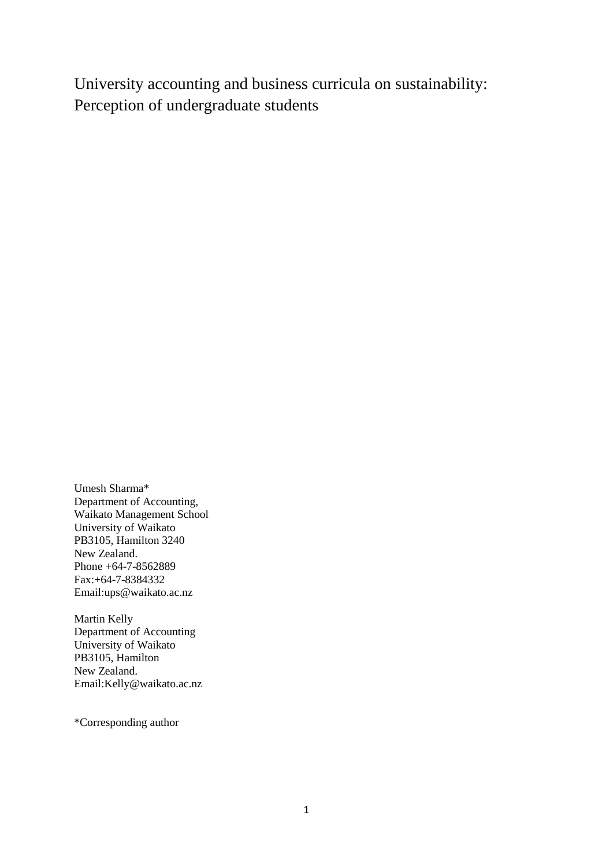University accounting and business curricula on sustainability: Perception of undergraduate students

Umesh Sharma\* Department of Accounting, Waikato Management School University of Waikato PB3105, Hamilton 3240 New Zealand. Phone +64-7-8562889 Fax:+64-7-8384332 Email:ups@waikato.ac.nz

Martin Kelly Department of Accounting University of Waikato PB3105, Hamilton New Zealand. Email:Kelly@waikato.ac.nz

\*Corresponding author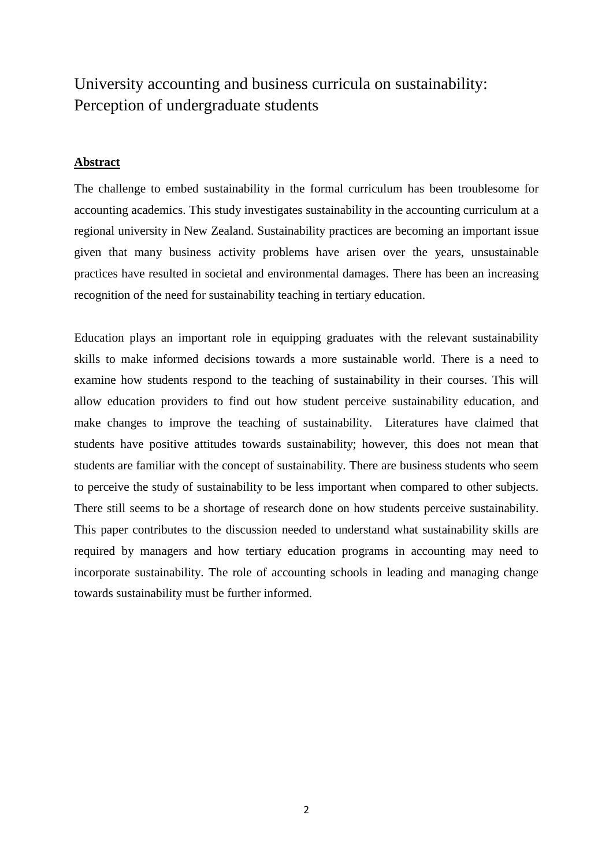# University accounting and business curricula on sustainability: Perception of undergraduate students

## **Abstract**

The challenge to embed sustainability in the formal curriculum has been troublesome for accounting academics. This study investigates sustainability in the accounting curriculum at a regional university in New Zealand. Sustainability practices are becoming an important issue given that many business activity problems have arisen over the years, unsustainable practices have resulted in societal and environmental damages. There has been an increasing recognition of the need for sustainability teaching in tertiary education.

Education plays an important role in equipping graduates with the relevant sustainability skills to make informed decisions towards a more sustainable world. There is a need to examine how students respond to the teaching of sustainability in their courses. This will allow education providers to find out how student perceive sustainability education, and make changes to improve the teaching of sustainability. Literatures have claimed that students have positive attitudes towards sustainability; however, this does not mean that students are familiar with the concept of sustainability. There are business students who seem to perceive the study of sustainability to be less important when compared to other subjects. There still seems to be a shortage of research done on how students perceive sustainability. This paper contributes to the discussion needed to understand what sustainability skills are required by managers and how tertiary education programs in accounting may need to incorporate sustainability. The role of accounting schools in leading and managing change towards sustainability must be further informed.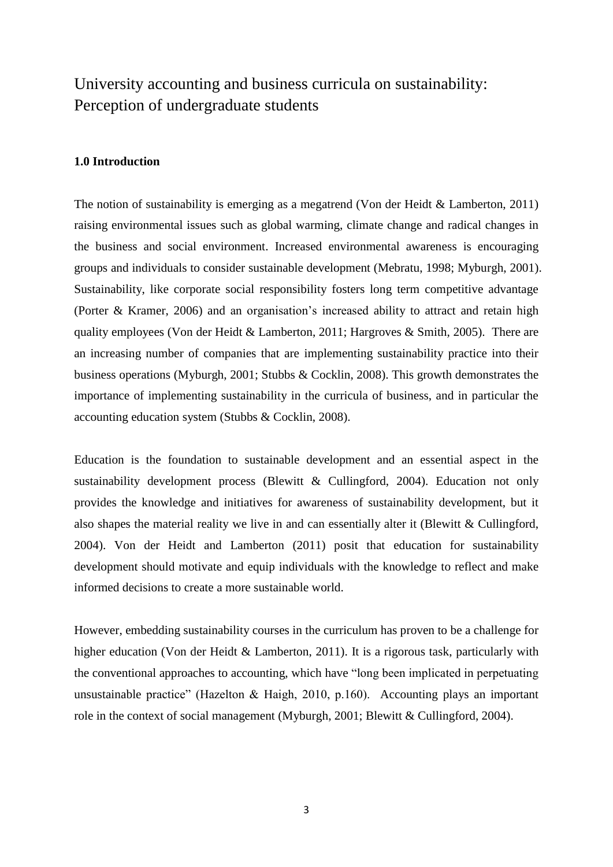# University accounting and business curricula on sustainability: Perception of undergraduate students

## **1.0 Introduction**

The notion of sustainability is emerging as a megatrend (Von der Heidt & Lamberton, 2011) raising environmental issues such as global warming, climate change and radical changes in the business and social environment. Increased environmental awareness is encouraging groups and individuals to consider sustainable development (Mebratu, 1998; Myburgh, 2001). Sustainability, like corporate social responsibility fosters long term competitive advantage (Porter & Kramer, 2006) and an organisation's increased ability to attract and retain high quality employees (Von der Heidt & Lamberton, 2011; Hargroves & Smith, 2005). There are an increasing number of companies that are implementing sustainability practice into their business operations (Myburgh, 2001; Stubbs & Cocklin, 2008). This growth demonstrates the importance of implementing sustainability in the curricula of business, and in particular the accounting education system (Stubbs & Cocklin, 2008).

Education is the foundation to sustainable development and an essential aspect in the sustainability development process (Blewitt & Cullingford, 2004). Education not only provides the knowledge and initiatives for awareness of sustainability development, but it also shapes the material reality we live in and can essentially alter it (Blewitt & Cullingford, 2004). Von der Heidt and Lamberton (2011) posit that education for sustainability development should motivate and equip individuals with the knowledge to reflect and make informed decisions to create a more sustainable world.

However, embedding sustainability courses in the curriculum has proven to be a challenge for higher education (Von der Heidt & Lamberton, 2011). It is a rigorous task, particularly with the conventional approaches to accounting, which have "long been implicated in perpetuating unsustainable practice" (Hazelton & Haigh, 2010, p.160). Accounting plays an important role in the context of social management (Myburgh, 2001; Blewitt & Cullingford, 2004).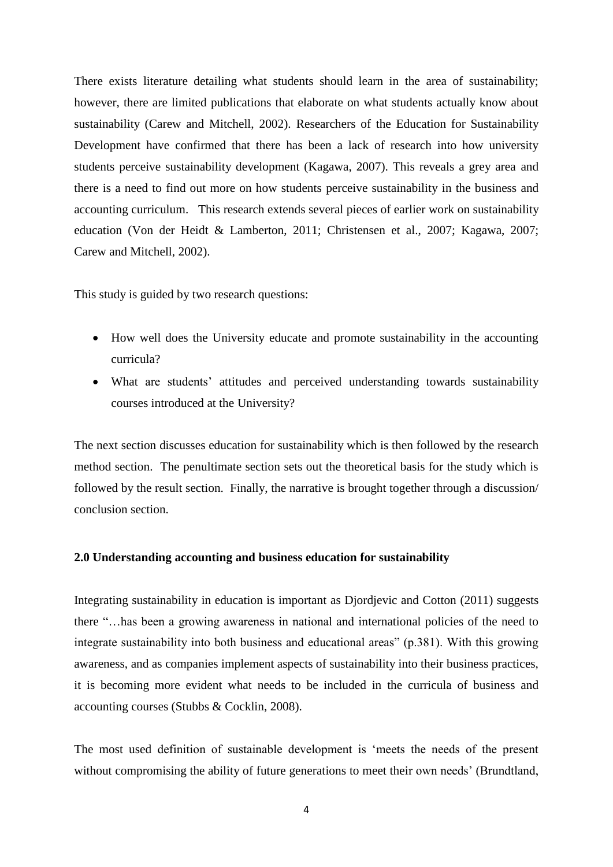There exists literature detailing what students should learn in the area of sustainability; however, there are limited publications that elaborate on what students actually know about sustainability (Carew and Mitchell, 2002). Researchers of the Education for Sustainability Development have confirmed that there has been a lack of research into how university students perceive sustainability development (Kagawa, 2007). This reveals a grey area and there is a need to find out more on how students perceive sustainability in the business and accounting curriculum. This research extends several pieces of earlier work on sustainability education (Von der Heidt & Lamberton, 2011; Christensen et al., 2007; Kagawa, 2007; Carew and Mitchell, 2002).

This study is guided by two research questions:

- How well does the University educate and promote sustainability in the accounting curricula?
- What are students' attitudes and perceived understanding towards sustainability courses introduced at the University?

The next section discusses education for sustainability which is then followed by the research method section. The penultimate section sets out the theoretical basis for the study which is followed by the result section. Finally, the narrative is brought together through a discussion/ conclusion section.

### **2.0 Understanding accounting and business education for sustainability**

Integrating sustainability in education is important as Djordjevic and Cotton (2011) suggests there "...has been a growing awareness in national and international policies of the need to integrate sustainability into both business and educational areas" (p.381). With this growing awareness, and as companies implement aspects of sustainability into their business practices, it is becoming more evident what needs to be included in the curricula of business and accounting courses (Stubbs & Cocklin, 2008).

The most used definition of sustainable development is 'meets the needs of the present without compromising the ability of future generations to meet their own needs' (Brundtland,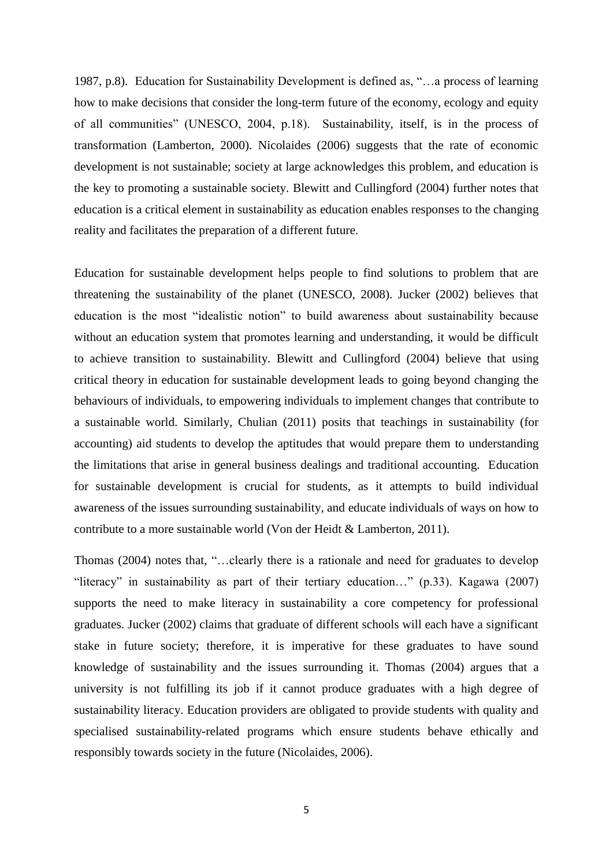1987, p.8). Education for Sustainability Development is defined as, "...a process of learning how to make decisions that consider the long-term future of the economy, ecology and equity of all communities" (UNESCO, 2004, p.18). Sustainability, itself, is in the process of transformation (Lamberton, 2000). Nicolaides (2006) suggests that the rate of economic development is not sustainable; society at large acknowledges this problem, and education is the key to promoting a sustainable society. Blewitt and Cullingford (2004) further notes that education is a critical element in sustainability as education enables responses to the changing reality and facilitates the preparation of a different future.

Education for sustainable development helps people to find solutions to problem that are threatening the sustainability of the planet (UNESCO, 2008). Jucker (2002) believes that education is the most "idealistic notion" to build awareness about sustainability because without an education system that promotes learning and understanding, it would be difficult to achieve transition to sustainability. Blewitt and Cullingford (2004) believe that using critical theory in education for sustainable development leads to going beyond changing the behaviours of individuals, to empowering individuals to implement changes that contribute to a sustainable world. Similarly, Chulian (2011) posits that teachings in sustainability (for accounting) aid students to develop the aptitudes that would prepare them to understanding the limitations that arise in general business dealings and traditional accounting. Education for sustainable development is crucial for students, as it attempts to build individual awareness of the issues surrounding sustainability, and educate individuals of ways on how to contribute to a more sustainable world (Von der Heidt & Lamberton, 2011).

Thomas (2004) notes that, "...clearly there is a rationale and need for graduates to develop "literacy" in sustainability as part of their tertiary education..." (p.33). Kagawa (2007) supports the need to make literacy in sustainability a core competency for professional graduates. Jucker (2002) claims that graduate of different schools will each have a significant stake in future society; therefore, it is imperative for these graduates to have sound knowledge of sustainability and the issues surrounding it. Thomas (2004) argues that a university is not fulfilling its job if it cannot produce graduates with a high degree of sustainability literacy. Education providers are obligated to provide students with quality and specialised sustainability-related programs which ensure students behave ethically and responsibly towards society in the future (Nicolaides, 2006).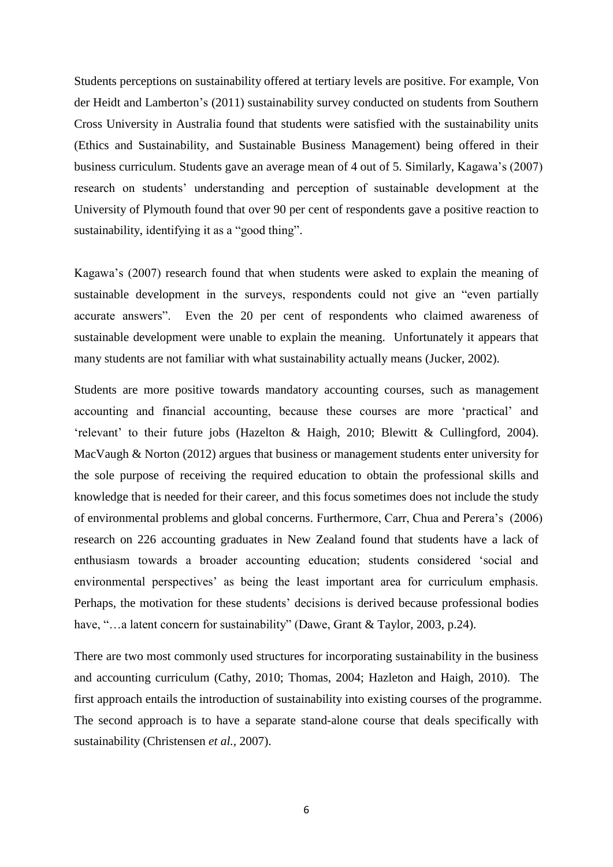Students perceptions on sustainability offered at tertiary levels are positive. For example, Von der Heidt and Lamberton's (2011) sustainability survey conducted on students from Southern Cross University in Australia found that students were satisfied with the sustainability units (Ethics and Sustainability, and Sustainable Business Management) being offered in their business curriculum. Students gave an average mean of 4 out of 5. Similarly, Kagawa's (2007) research on students' understanding and perception of sustainable development at the University of Plymouth found that over 90 per cent of respondents gave a positive reaction to sustainability, identifying it as a "good thing".

Kagawa's (2007) research found that when students were asked to explain the meaning of sustainable development in the surveys, respondents could not give an "even partially accurate answers". Even the 20 per cent of respondents who claimed awareness of sustainable development were unable to explain the meaning. Unfortunately it appears that many students are not familiar with what sustainability actually means (Jucker, 2002).

Students are more positive towards mandatory accounting courses, such as management accounting and financial accounting, because these courses are more 'practical' and ‗relevant' to their future jobs (Hazelton & Haigh, 2010; Blewitt & Cullingford, 2004). MacVaugh & Norton (2012) argues that business or management students enter university for the sole purpose of receiving the required education to obtain the professional skills and knowledge that is needed for their career, and this focus sometimes does not include the study of environmental problems and global concerns. Furthermore, Carr, Chua and Perera's (2006) research on 226 accounting graduates in New Zealand found that students have a lack of enthusiasm towards a broader accounting education; students considered 'social and environmental perspectives' as being the least important area for curriculum emphasis. Perhaps, the motivation for these students' decisions is derived because professional bodies have, "...a latent concern for sustainability" (Dawe, Grant & Taylor, 2003, p.24).

There are two most commonly used structures for incorporating sustainability in the business and accounting curriculum (Cathy, 2010; Thomas, 2004; Hazleton and Haigh, 2010). The first approach entails the introduction of sustainability into existing courses of the programme. The second approach is to have a separate stand-alone course that deals specifically with sustainability (Christensen *et al.,* 2007).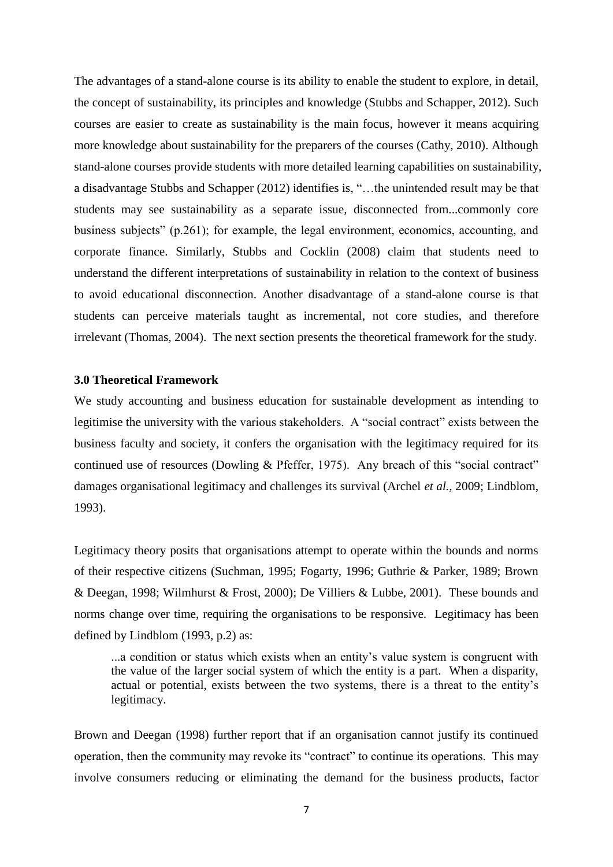The advantages of a stand-alone course is its ability to enable the student to explore, in detail, the concept of sustainability, its principles and knowledge (Stubbs and Schapper, 2012). Such courses are easier to create as sustainability is the main focus, however it means acquiring more knowledge about sustainability for the preparers of the courses (Cathy, 2010). Although stand-alone courses provide students with more detailed learning capabilities on sustainability, a disadvantage Stubbs and Schapper (2012) identifies is, "...the unintended result may be that students may see sustainability as a separate issue, disconnected from...commonly core business subjects" (p.261); for example, the legal environment, economics, accounting, and corporate finance. Similarly, Stubbs and Cocklin (2008) claim that students need to understand the different interpretations of sustainability in relation to the context of business to avoid educational disconnection. Another disadvantage of a stand-alone course is that students can perceive materials taught as incremental, not core studies, and therefore irrelevant (Thomas, 2004). The next section presents the theoretical framework for the study.

## **3.0 Theoretical Framework**

We study accounting and business education for sustainable development as intending to legitimise the university with the various stakeholders. A "social contract" exists between the business faculty and society, it confers the organisation with the legitimacy required for its continued use of resources (Dowling  $&$  Pfeffer, 1975). Any breach of this "social contract" damages organisational legitimacy and challenges its survival (Archel *et al.,* 2009; Lindblom, 1993).

Legitimacy theory posits that organisations attempt to operate within the bounds and norms of their respective citizens (Suchman, 1995; Fogarty, 1996; Guthrie & Parker, 1989; Brown & Deegan, 1998; Wilmhurst & Frost, 2000); De Villiers & Lubbe, 2001). These bounds and norms change over time, requiring the organisations to be responsive. Legitimacy has been defined by Lindblom (1993, p.2) as:

...a condition or status which exists when an entity's value system is congruent with the value of the larger social system of which the entity is a part. When a disparity, actual or potential, exists between the two systems, there is a threat to the entity's legitimacy.

Brown and Deegan (1998) further report that if an organisation cannot justify its continued operation, then the community may revoke its "contract" to continue its operations. This may involve consumers reducing or eliminating the demand for the business products, factor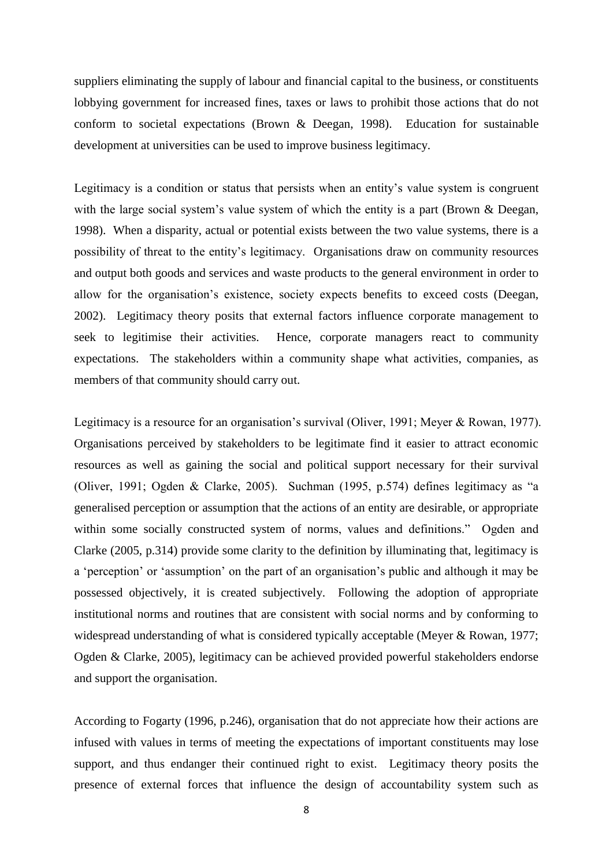suppliers eliminating the supply of labour and financial capital to the business, or constituents lobbying government for increased fines, taxes or laws to prohibit those actions that do not conform to societal expectations (Brown & Deegan, 1998). Education for sustainable development at universities can be used to improve business legitimacy.

Legitimacy is a condition or status that persists when an entity's value system is congruent with the large social system's value system of which the entity is a part (Brown & Deegan, 1998). When a disparity, actual or potential exists between the two value systems, there is a possibility of threat to the entity's legitimacy. Organisations draw on community resources and output both goods and services and waste products to the general environment in order to allow for the organisation's existence, society expects benefits to exceed costs (Deegan, 2002). Legitimacy theory posits that external factors influence corporate management to seek to legitimise their activities. Hence, corporate managers react to community expectations. The stakeholders within a community shape what activities, companies, as members of that community should carry out.

Legitimacy is a resource for an organisation's survival (Oliver, 1991; Meyer & Rowan, 1977). Organisations perceived by stakeholders to be legitimate find it easier to attract economic resources as well as gaining the social and political support necessary for their survival (Oliver, 1991; Ogden & Clarke, 2005). Suchman  $(1995, p.574)$  defines legitimacy as "a generalised perception or assumption that the actions of an entity are desirable, or appropriate within some socially constructed system of norms, values and definitions." Ogden and Clarke (2005, p.314) provide some clarity to the definition by illuminating that, legitimacy is a 'perception' or 'assumption' on the part of an organisation's public and although it may be possessed objectively, it is created subjectively. Following the adoption of appropriate institutional norms and routines that are consistent with social norms and by conforming to widespread understanding of what is considered typically acceptable (Meyer & Rowan, 1977; Ogden & Clarke, 2005), legitimacy can be achieved provided powerful stakeholders endorse and support the organisation.

According to Fogarty (1996, p.246), organisation that do not appreciate how their actions are infused with values in terms of meeting the expectations of important constituents may lose support, and thus endanger their continued right to exist. Legitimacy theory posits the presence of external forces that influence the design of accountability system such as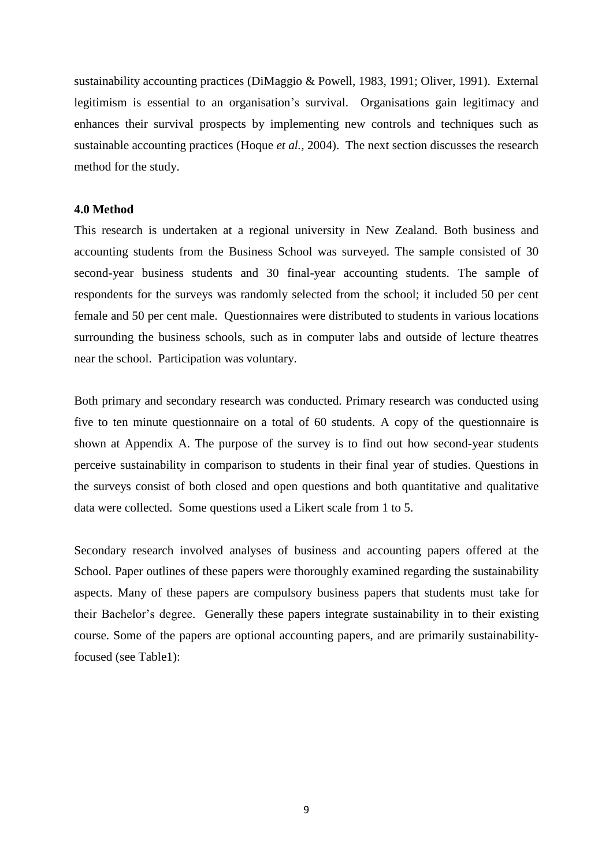sustainability accounting practices (DiMaggio & Powell, 1983, 1991; Oliver, 1991). External legitimism is essential to an organisation's survival. Organisations gain legitimacy and enhances their survival prospects by implementing new controls and techniques such as sustainable accounting practices (Hoque *et al.,* 2004). The next section discusses the research method for the study.

## **4.0 Method**

This research is undertaken at a regional university in New Zealand. Both business and accounting students from the Business School was surveyed. The sample consisted of 30 second-year business students and 30 final-year accounting students. The sample of respondents for the surveys was randomly selected from the school; it included 50 per cent female and 50 per cent male. Questionnaires were distributed to students in various locations surrounding the business schools, such as in computer labs and outside of lecture theatres near the school. Participation was voluntary.

Both primary and secondary research was conducted. Primary research was conducted using five to ten minute questionnaire on a total of 60 students. A copy of the questionnaire is shown at Appendix A. The purpose of the survey is to find out how second-year students perceive sustainability in comparison to students in their final year of studies. Questions in the surveys consist of both closed and open questions and both quantitative and qualitative data were collected. Some questions used a Likert scale from 1 to 5.

Secondary research involved analyses of business and accounting papers offered at the School. Paper outlines of these papers were thoroughly examined regarding the sustainability aspects. Many of these papers are compulsory business papers that students must take for their Bachelor's degree. Generally these papers integrate sustainability in to their existing course. Some of the papers are optional accounting papers, and are primarily sustainabilityfocused (see Table1):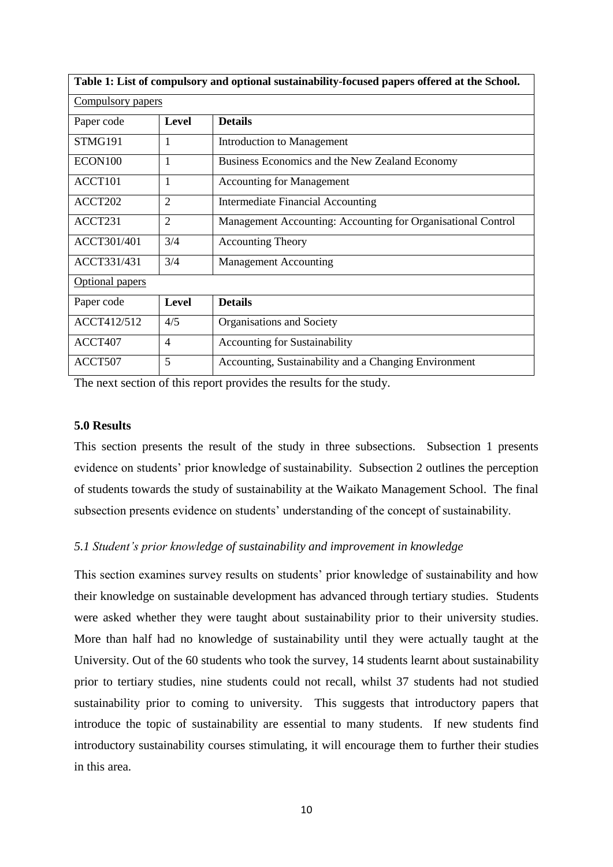| Table 1: List of compulsory and optional sustainability-focused papers offered at the School. |                   |                                                              |  |  |  |
|-----------------------------------------------------------------------------------------------|-------------------|--------------------------------------------------------------|--|--|--|
|                                                                                               | Compulsory papers |                                                              |  |  |  |
| Paper code                                                                                    | Level             | <b>Details</b>                                               |  |  |  |
| STMG191                                                                                       | 1                 | Introduction to Management                                   |  |  |  |
| ECON100                                                                                       | 1                 | Business Economics and the New Zealand Economy               |  |  |  |
| ACCT101                                                                                       | 1                 | <b>Accounting for Management</b>                             |  |  |  |
| ACCT202                                                                                       | $\overline{2}$    | <b>Intermediate Financial Accounting</b>                     |  |  |  |
| ACCT231                                                                                       | $\overline{2}$    | Management Accounting: Accounting for Organisational Control |  |  |  |
| ACCT301/401                                                                                   | 3/4               | <b>Accounting Theory</b>                                     |  |  |  |
| ACCT331/431                                                                                   | 3/4               | <b>Management Accounting</b>                                 |  |  |  |
| <b>Optional papers</b>                                                                        |                   |                                                              |  |  |  |
| Paper code                                                                                    | <b>Level</b>      | <b>Details</b>                                               |  |  |  |
| ACCT412/512                                                                                   | 4/5               | Organisations and Society                                    |  |  |  |
| ACCT407                                                                                       | $\overline{4}$    | <b>Accounting for Sustainability</b>                         |  |  |  |
| ACCT507                                                                                       | 5                 | Accounting, Sustainability and a Changing Environment        |  |  |  |

The next section of this report provides the results for the study.

## **5.0 Results**

This section presents the result of the study in three subsections. Subsection 1 presents evidence on students' prior knowledge of sustainability. Subsection 2 outlines the perception of students towards the study of sustainability at the Waikato Management School. The final subsection presents evidence on students' understanding of the concept of sustainability.

## *5.1 Student's prior knowledge of sustainability and improvement in knowledge*

This section examines survey results on students' prior knowledge of sustainability and how their knowledge on sustainable development has advanced through tertiary studies. Students were asked whether they were taught about sustainability prior to their university studies. More than half had no knowledge of sustainability until they were actually taught at the University. Out of the 60 students who took the survey, 14 students learnt about sustainability prior to tertiary studies, nine students could not recall, whilst 37 students had not studied sustainability prior to coming to university. This suggests that introductory papers that introduce the topic of sustainability are essential to many students. If new students find introductory sustainability courses stimulating, it will encourage them to further their studies in this area.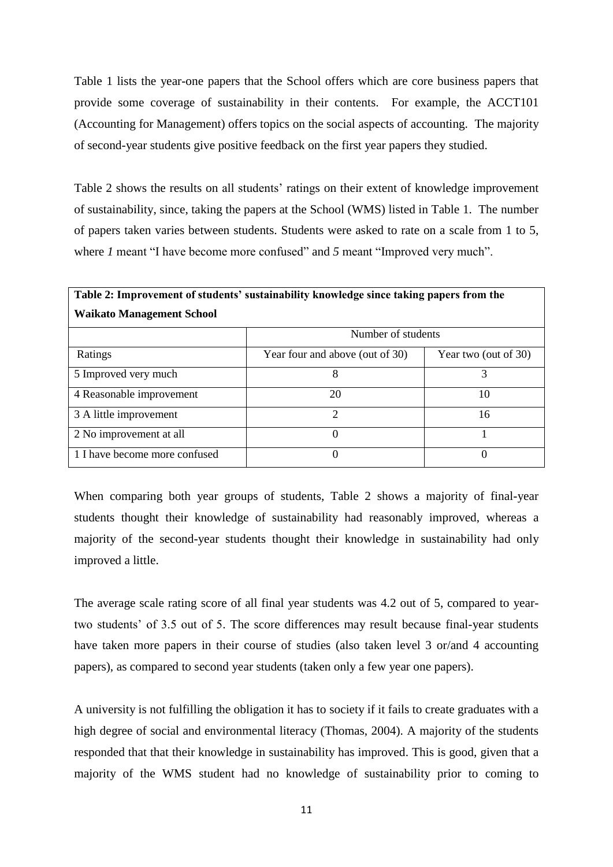Table 1 lists the year-one papers that the School offers which are core business papers that provide some coverage of sustainability in their contents. For example, the ACCT101 (Accounting for Management) offers topics on the social aspects of accounting. The majority of second-year students give positive feedback on the first year papers they studied.

Table 2 shows the results on all students' ratings on their extent of knowledge improvement of sustainability, since, taking the papers at the School (WMS) listed in Table 1. The number of papers taken varies between students. Students were asked to rate on a scale from 1 to 5, where *1* meant "I have become more confused" and 5 meant "Improved very much".

| Table 2: Improvement of students' sustainability knowledge since taking papers from the |                                 |                      |  |  |  |
|-----------------------------------------------------------------------------------------|---------------------------------|----------------------|--|--|--|
| <b>Waikato Management School</b>                                                        | Number of students              |                      |  |  |  |
| Ratings                                                                                 | Year four and above (out of 30) | Year two (out of 30) |  |  |  |
| 5 Improved very much                                                                    | 8                               | 3                    |  |  |  |
| 4 Reasonable improvement                                                                | 20                              | 10                   |  |  |  |
| 3 A little improvement                                                                  | 2                               | 16                   |  |  |  |
| 2 No improvement at all                                                                 | $\Omega$                        |                      |  |  |  |
| 1 I have become more confused                                                           | $\overline{0}$                  | $\theta$             |  |  |  |

When comparing both year groups of students, Table 2 shows a majority of final-year students thought their knowledge of sustainability had reasonably improved, whereas a majority of the second-year students thought their knowledge in sustainability had only improved a little.

The average scale rating score of all final year students was 4.2 out of 5, compared to yeartwo students' of 3.5 out of 5. The score differences may result because final-year students have taken more papers in their course of studies (also taken level 3 or/and 4 accounting papers), as compared to second year students (taken only a few year one papers).

A university is not fulfilling the obligation it has to society if it fails to create graduates with a high degree of social and environmental literacy (Thomas, 2004). A majority of the students responded that that their knowledge in sustainability has improved. This is good, given that a majority of the WMS student had no knowledge of sustainability prior to coming to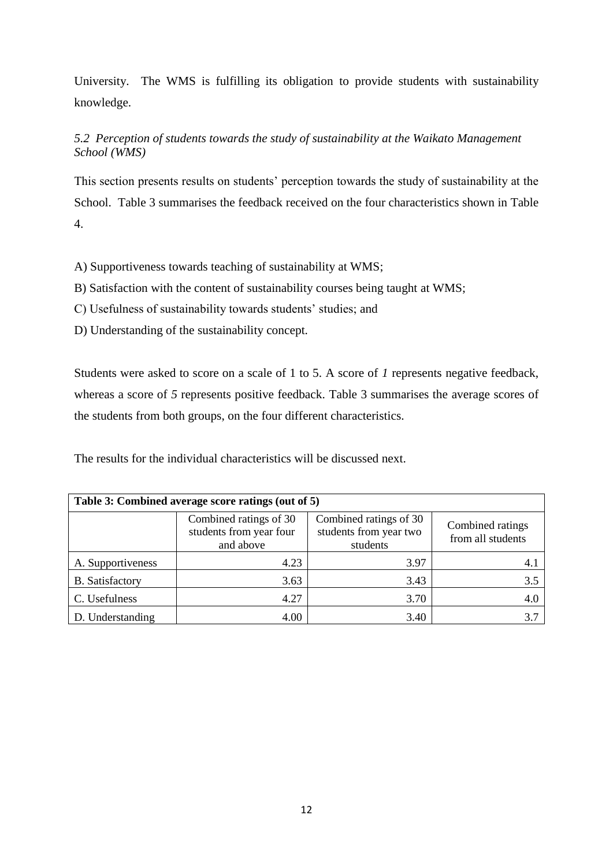University. The WMS is fulfilling its obligation to provide students with sustainability knowledge.

## *5.2 Perception of students towards the study of sustainability at the Waikato Management School (WMS)*

This section presents results on students' perception towards the study of sustainability at the School. Table 3 summarises the feedback received on the four characteristics shown in Table 4.

A) Supportiveness towards teaching of sustainability at WMS;

B) Satisfaction with the content of sustainability courses being taught at WMS;

C) Usefulness of sustainability towards students' studies; and

D) Understanding of the sustainability concept.

Students were asked to score on a scale of 1 to 5. A score of *1* represents negative feedback, whereas a score of *5* represents positive feedback. Table 3 summarises the average scores of the students from both groups, on the four different characteristics.

The results for the individual characteristics will be discussed next.

| Table 3: Combined average score ratings (out of 5) |                                                                |                                                              |                                       |  |  |  |
|----------------------------------------------------|----------------------------------------------------------------|--------------------------------------------------------------|---------------------------------------|--|--|--|
|                                                    | Combined ratings of 30<br>students from year four<br>and above | Combined ratings of 30<br>students from year two<br>students | Combined ratings<br>from all students |  |  |  |
| A. Supportiveness                                  | 4.23                                                           | 3.97                                                         | 4.                                    |  |  |  |
| <b>B.</b> Satisfactory                             | 3.63                                                           | 3.43                                                         | 3.5                                   |  |  |  |
| C. Usefulness                                      | 4.27                                                           | 3.70                                                         | 4.0                                   |  |  |  |
| D. Understanding                                   | 4.00                                                           | 3.40                                                         |                                       |  |  |  |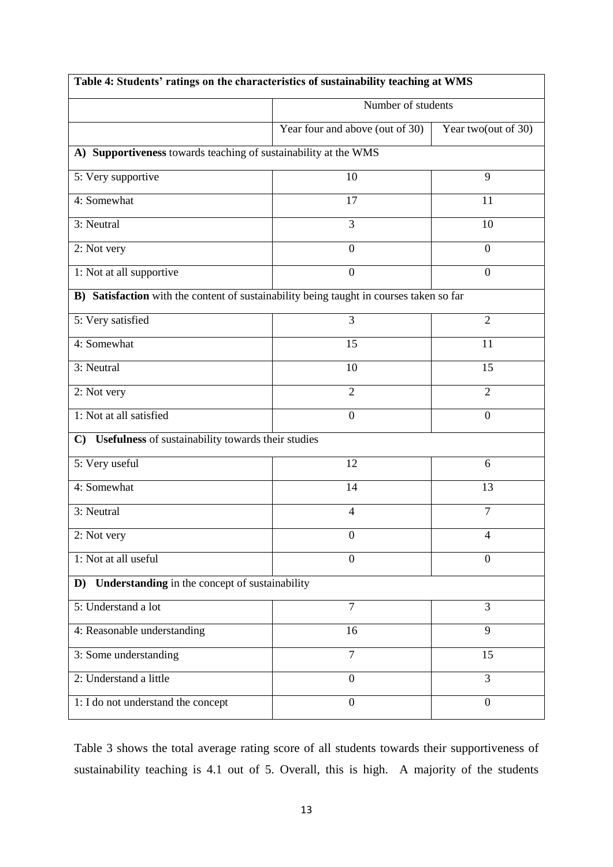| Table 4: Students' ratings on the characteristics of sustainability teaching at WMS     |                                               |                     |  |  |
|-----------------------------------------------------------------------------------------|-----------------------------------------------|---------------------|--|--|
|                                                                                         | Number of students                            |                     |  |  |
|                                                                                         | Year four and above (out of $\overline{30}$ ) | Year two(out of 30) |  |  |
| A) Supportiveness towards teaching of sustainability at the WMS                         |                                               |                     |  |  |
| 5: Very supportive                                                                      | 10                                            | 9                   |  |  |
| 4: Somewhat                                                                             | 17                                            | 11                  |  |  |
| 3: Neutral                                                                              | 3                                             | 10                  |  |  |
| 2: Not very                                                                             | $\boldsymbol{0}$                              | $\boldsymbol{0}$    |  |  |
| 1: Not at all supportive                                                                | $\overline{0}$                                | $\boldsymbol{0}$    |  |  |
| B) Satisfaction with the content of sustainability being taught in courses taken so far |                                               |                     |  |  |
| 5: Very satisfied                                                                       | $\overline{3}$                                | $\overline{2}$      |  |  |
| 4: Somewhat                                                                             | 15                                            | 11                  |  |  |
| 3: Neutral                                                                              | 10                                            | 15                  |  |  |
| 2: Not very                                                                             | $\overline{2}$                                | $\overline{2}$      |  |  |
| 1: Not at all satisfied                                                                 | $\mathbf{0}$                                  | $\boldsymbol{0}$    |  |  |
| Usefulness of sustainability towards their studies<br>$\mathbf{C}$                      |                                               |                     |  |  |
| 5: Very useful                                                                          | 12                                            | 6                   |  |  |
| 4: Somewhat                                                                             | 14                                            | 13                  |  |  |
| 3: Neutral                                                                              | $\overline{4}$                                | $\overline{7}$      |  |  |
| 2: Not very                                                                             | $\boldsymbol{0}$                              | Δ                   |  |  |
| 1: Not at all useful                                                                    | $\Omega$                                      | 0                   |  |  |
| Understanding in the concept of sustainability<br>D)                                    |                                               |                     |  |  |
| 5: Understand a lot                                                                     | $\overline{7}$                                | 3                   |  |  |
| 4: Reasonable understanding                                                             | 16                                            | 9                   |  |  |
| 3: Some understanding                                                                   | $\overline{7}$                                | 15                  |  |  |
| 2: Understand a little                                                                  | $\overline{0}$                                | $\overline{3}$      |  |  |
| 1: I do not understand the concept                                                      | $\overline{0}$                                | $\boldsymbol{0}$    |  |  |

Table 3 shows the total average rating score of all students towards their supportiveness of sustainability teaching is 4.1 out of 5. Overall, this is high. A majority of the students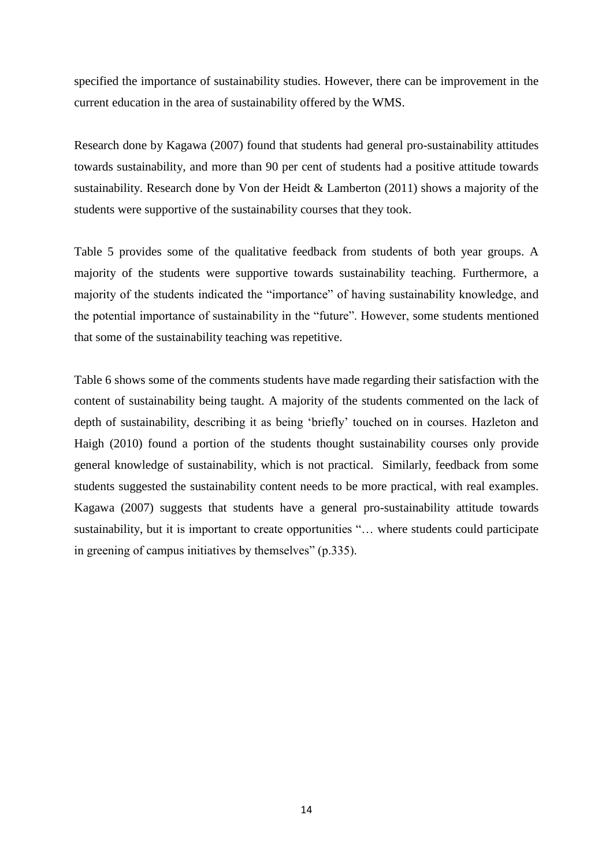specified the importance of sustainability studies. However, there can be improvement in the current education in the area of sustainability offered by the WMS.

Research done by Kagawa (2007) found that students had general pro-sustainability attitudes towards sustainability, and more than 90 per cent of students had a positive attitude towards sustainability. Research done by Von der Heidt & Lamberton (2011) shows a majority of the students were supportive of the sustainability courses that they took.

Table 5 provides some of the qualitative feedback from students of both year groups. A majority of the students were supportive towards sustainability teaching. Furthermore, a majority of the students indicated the "importance" of having sustainability knowledge, and the potential importance of sustainability in the "future". However, some students mentioned that some of the sustainability teaching was repetitive.

Table 6 shows some of the comments students have made regarding their satisfaction with the content of sustainability being taught. A majority of the students commented on the lack of depth of sustainability, describing it as being 'briefly' touched on in courses. Hazleton and Haigh (2010) found a portion of the students thought sustainability courses only provide general knowledge of sustainability, which is not practical. Similarly, feedback from some students suggested the sustainability content needs to be more practical, with real examples. Kagawa (2007) suggests that students have a general pro-sustainability attitude towards sustainability, but it is important to create opportunities "... where students could participate in greening of campus initiatives by themselves"  $(p.335)$ .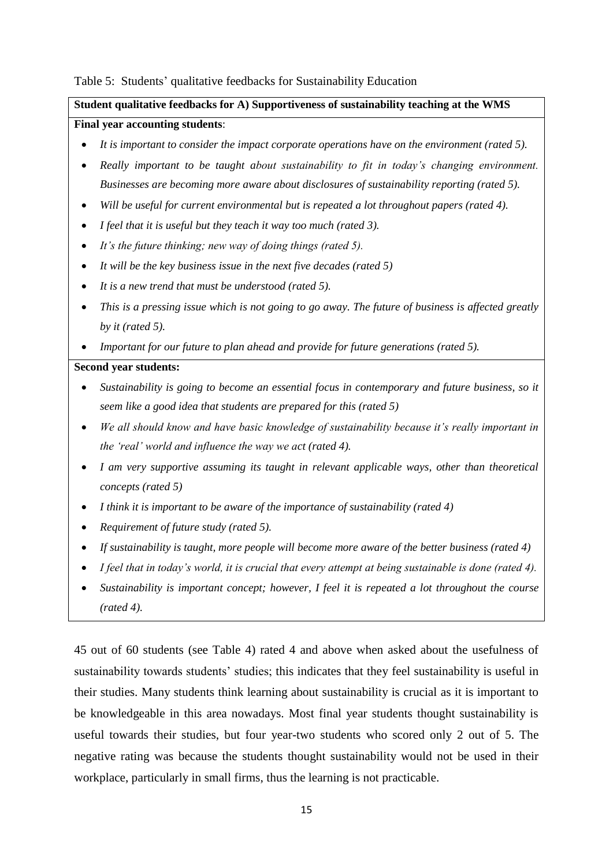## Table 5: Students' qualitative feedbacks for Sustainability Education

## **Student qualitative feedbacks for A) Supportiveness of sustainability teaching at the WMS Final year accounting students**:

- *It is important to consider the impact corporate operations have on the environment (rated 5).*
- *Really important to be taught about sustainability to fit in today's changing environment. Businesses are becoming more aware about disclosures of sustainability reporting (rated 5).*
- *Will be useful for current environmental but is repeated a lot throughout papers (rated 4).*
- *I feel that it is useful but they teach it way too much (rated 3).*
- *It's the future thinking; new way of doing things (rated 5).*
- *It will be the key business issue in the next five decades (rated 5)*
- *It is a new trend that must be understood (rated 5).*
- *This is a pressing issue which is not going to go away. The future of business is affected greatly by it (rated 5).*
- *Important for our future to plan ahead and provide for future generations (rated 5).*

#### **Second year students:**

- *Sustainability is going to become an essential focus in contemporary and future business, so it seem like a good idea that students are prepared for this (rated 5)*
- *We all should know and have basic knowledge of sustainability because it's really important in the 'real' world and influence the way we act (rated 4).*
- *I am very supportive assuming its taught in relevant applicable ways, other than theoretical concepts (rated 5)*
- *I think it is important to be aware of the importance of sustainability (rated 4)*
- *Requirement of future study (rated 5).*
- *If sustainability is taught, more people will become more aware of the better business (rated 4)*
- *I feel that in today's world, it is crucial that every attempt at being sustainable is done (rated 4).*
- *Sustainability is important concept; however, I feel it is repeated a lot throughout the course (rated 4).*

45 out of 60 students (see Table 4) rated 4 and above when asked about the usefulness of sustainability towards students' studies; this indicates that they feel sustainability is useful in their studies. Many students think learning about sustainability is crucial as it is important to be knowledgeable in this area nowadays. Most final year students thought sustainability is useful towards their studies, but four year-two students who scored only 2 out of 5. The negative rating was because the students thought sustainability would not be used in their workplace, particularly in small firms, thus the learning is not practicable.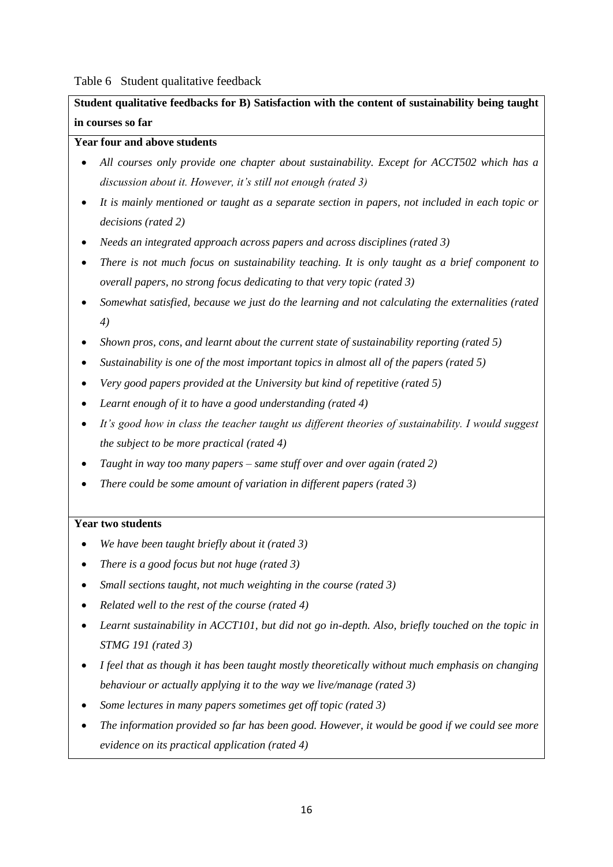Table 6 Student qualitative feedback

**Student qualitative feedbacks for B) Satisfaction with the content of sustainability being taught in courses so far**

## **Year four and above students**

- *All courses only provide one chapter about sustainability. Except for ACCT502 which has a discussion about it. However, it's still not enough (rated 3)*
- *It is mainly mentioned or taught as a separate section in papers, not included in each topic or decisions (rated 2)*
- *Needs an integrated approach across papers and across disciplines (rated 3)*
- *There is not much focus on sustainability teaching. It is only taught as a brief component to overall papers, no strong focus dedicating to that very topic (rated 3)*
- *Somewhat satisfied, because we just do the learning and not calculating the externalities (rated 4)*
- *Shown pros, cons, and learnt about the current state of sustainability reporting (rated 5)*
- *Sustainability is one of the most important topics in almost all of the papers (rated 5)*
- *Very good papers provided at the University but kind of repetitive (rated 5)*
- *Learnt enough of it to have a good understanding (rated 4)*
- *It's good how in class the teacher taught us different theories of sustainability. I would suggest the subject to be more practical (rated 4)*
- *Taught in way too many papers – same stuff over and over again (rated 2)*
- *There could be some amount of variation in different papers (rated 3)*

## **Year two students**

- *We have been taught briefly about it (rated 3)*
- *There is a good focus but not huge (rated 3)*
- *Small sections taught, not much weighting in the course (rated 3)*
- *Related well to the rest of the course (rated 4)*
- *Learnt sustainability in ACCT101, but did not go in-depth. Also, briefly touched on the topic in STMG 191 (rated 3)*
- *I feel that as though it has been taught mostly theoretically without much emphasis on changing behaviour or actually applying it to the way we live/manage (rated 3)*
- *Some lectures in many papers sometimes get off topic (rated 3)*
- *The information provided so far has been good. However, it would be good if we could see more evidence on its practical application (rated 4)*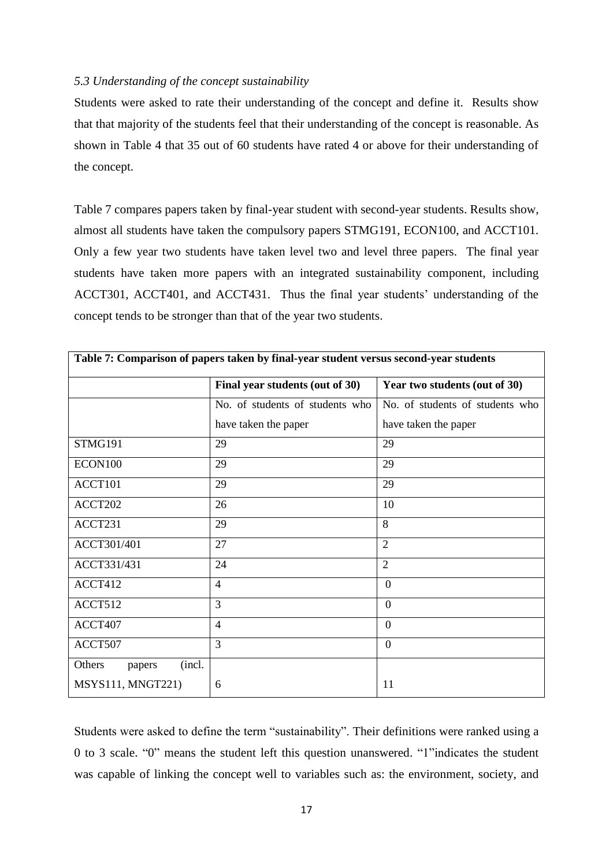## *5.3 Understanding of the concept sustainability*

Students were asked to rate their understanding of the concept and define it. Results show that that majority of the students feel that their understanding of the concept is reasonable. As shown in Table 4 that 35 out of 60 students have rated 4 or above for their understanding of the concept.

Table 7 compares papers taken by final-year student with second-year students. Results show, almost all students have taken the compulsory papers STMG191, ECON100, and ACCT101. Only a few year two students have taken level two and level three papers. The final year students have taken more papers with an integrated sustainability component, including ACCT301, ACCT401, and ACCT431. Thus the final year students' understanding of the concept tends to be stronger than that of the year two students.

|                            | Final year students (out of 30) | Year two students (out of 30)   |
|----------------------------|---------------------------------|---------------------------------|
|                            | No. of students of students who | No. of students of students who |
|                            | have taken the paper            | have taken the paper            |
| STMG191                    | 29                              | 29                              |
| ECON100                    | 29                              | 29                              |
| ACCT101                    | 29                              | 29                              |
| ACCT202                    | 26                              | 10                              |
| ACCT231                    | 29                              | $\overline{8}$                  |
| ACCT301/401                | 27                              | $\overline{2}$                  |
| ACCT331/431                | 24                              | $\overline{2}$                  |
| ACCT412                    | $\overline{4}$                  | $\boldsymbol{0}$                |
| ACCT512                    | 3                               | $\overline{0}$                  |
| ACCT407                    | $\overline{4}$                  | $\overline{0}$                  |
| ACCT507                    | 3                               | $\overline{0}$                  |
| (incl.<br>Others<br>papers |                                 |                                 |
| MSYS111, MNGT221)          | 6                               | 11                              |

Students were asked to define the term "sustainability". Their definitions were ranked using a 0 to 3 scale.  $"0"$  means the student left this question unanswered.  $"1"$ indicates the student was capable of linking the concept well to variables such as: the environment, society, and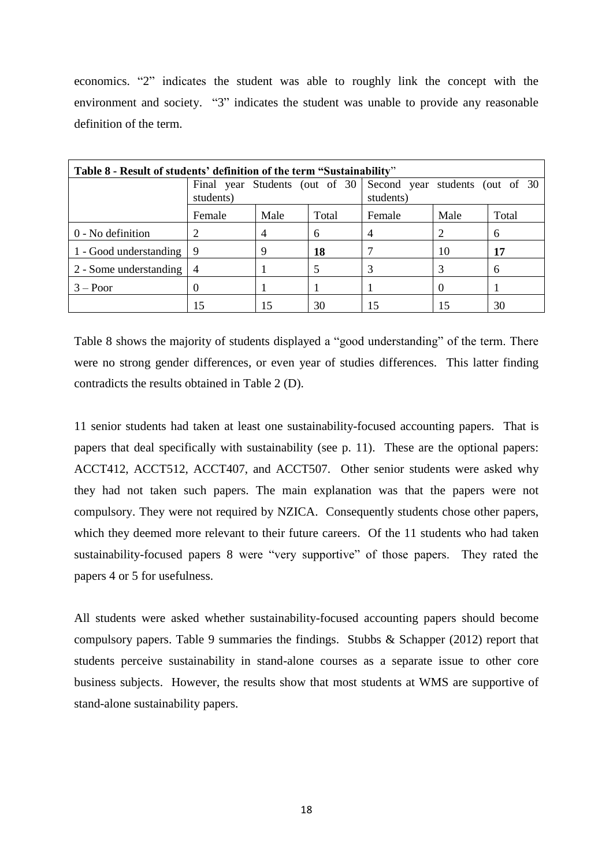economics. "2" indicates the student was able to roughly link the concept with the environment and society. "3" indicates the student was unable to provide any reasonable definition of the term.

| Table 8 - Result of students' definition of the term "Sustainability" |           |                                 |       |        |                                              |       |  |  |
|-----------------------------------------------------------------------|-----------|---------------------------------|-------|--------|----------------------------------------------|-------|--|--|
|                                                                       | students) | Final year Students (out of 30) |       |        | Second year students (out of 30<br>students) |       |  |  |
|                                                                       | Female    | Male                            | Total | Female | Male                                         | Total |  |  |
| 0 - No definition                                                     |           | 4                               | 6     | 4      |                                              | 6     |  |  |
| 1 - Good understanding                                                | -9        | 9                               | 18    |        | 10                                           | 17    |  |  |
| 2 - Some understanding                                                | 4         |                                 |       |        |                                              | 6     |  |  |
| $3 - Poor$                                                            |           |                                 |       |        |                                              |       |  |  |
|                                                                       | 15        |                                 | 30    | 15     |                                              | 30    |  |  |

Table 8 shows the majority of students displayed a "good understanding" of the term. There were no strong gender differences, or even year of studies differences. This latter finding contradicts the results obtained in Table 2 (D).

11 senior students had taken at least one sustainability-focused accounting papers. That is papers that deal specifically with sustainability (see p. 11). These are the optional papers: ACCT412, ACCT512, ACCT407, and ACCT507. Other senior students were asked why they had not taken such papers. The main explanation was that the papers were not compulsory. They were not required by NZICA. Consequently students chose other papers, which they deemed more relevant to their future careers. Of the 11 students who had taken sustainability-focused papers 8 were "very supportive" of those papers. They rated the papers 4 or 5 for usefulness.

All students were asked whether sustainability-focused accounting papers should become compulsory papers. Table 9 summaries the findings. Stubbs & Schapper (2012) report that students perceive sustainability in stand-alone courses as a separate issue to other core business subjects. However, the results show that most students at WMS are supportive of stand-alone sustainability papers.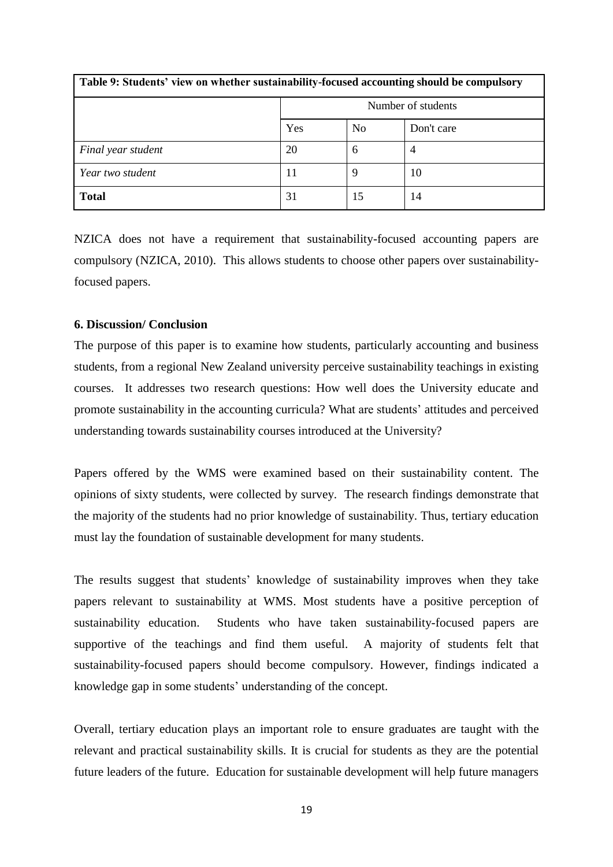| Table 9: Students' view on whether sustainability-focused accounting should be compulsory |                    |                |                |  |  |
|-------------------------------------------------------------------------------------------|--------------------|----------------|----------------|--|--|
|                                                                                           | Number of students |                |                |  |  |
|                                                                                           | Yes                | N <sub>0</sub> | Don't care     |  |  |
| Final year student                                                                        | 20                 | 6              | $\overline{4}$ |  |  |
| Year two student                                                                          | 11                 | q              | 10             |  |  |
| <b>Total</b>                                                                              | 31                 | 15             | 14             |  |  |

NZICA does not have a requirement that sustainability-focused accounting papers are compulsory (NZICA, 2010). This allows students to choose other papers over sustainabilityfocused papers.

## **6. Discussion/ Conclusion**

The purpose of this paper is to examine how students, particularly accounting and business students, from a regional New Zealand university perceive sustainability teachings in existing courses. It addresses two research questions: How well does the University educate and promote sustainability in the accounting curricula? What are students' attitudes and perceived understanding towards sustainability courses introduced at the University?

Papers offered by the WMS were examined based on their sustainability content. The opinions of sixty students, were collected by survey. The research findings demonstrate that the majority of the students had no prior knowledge of sustainability. Thus, tertiary education must lay the foundation of sustainable development for many students.

The results suggest that students' knowledge of sustainability improves when they take papers relevant to sustainability at WMS. Most students have a positive perception of sustainability education. Students who have taken sustainability-focused papers are supportive of the teachings and find them useful. A majority of students felt that sustainability-focused papers should become compulsory. However, findings indicated a knowledge gap in some students' understanding of the concept.

Overall, tertiary education plays an important role to ensure graduates are taught with the relevant and practical sustainability skills. It is crucial for students as they are the potential future leaders of the future. Education for sustainable development will help future managers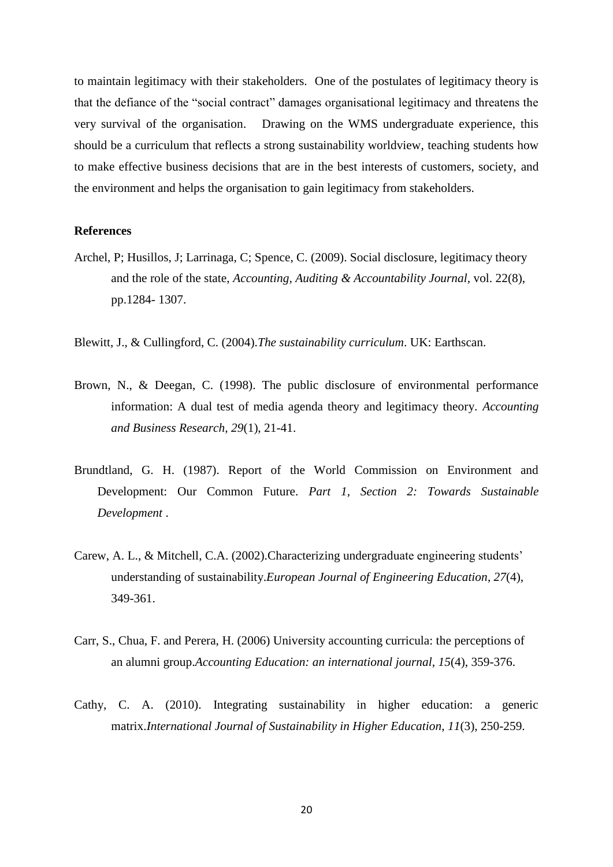to maintain legitimacy with their stakeholders. One of the postulates of legitimacy theory is that the defiance of the "social contract" damages organisational legitimacy and threatens the very survival of the organisation. Drawing on the WMS undergraduate experience, this should be a curriculum that reflects a strong sustainability worldview, teaching students how to make effective business decisions that are in the best interests of customers, society, and the environment and helps the organisation to gain legitimacy from stakeholders.

## **References**

- Archel, P; Husillos, J; Larrinaga, C; Spence, C. (2009). Social disclosure, legitimacy theory and the role of the state, *Accounting, Auditing & Accountability Journal,* vol. 22(8), pp.1284- 1307.
- Blewitt, J., & Cullingford, C. (2004).*The sustainability curriculum*. UK: Earthscan.
- Brown, N., & Deegan, C. (1998). The public disclosure of environmental performance information: A dual test of media agenda theory and legitimacy theory. *Accounting and Business Research, 29*(1), 21-41.
- Brundtland, G. H. (1987). Report of the World Commission on Environment and Development: Our Common Future. *Part 1, Section 2: Towards Sustainable Development* .
- Carew, A. L., & Mitchell, C.A. (2002).Characterizing undergraduate engineering students' understanding of sustainability.*European Journal of Engineering Education*, *27*(4), 349-361.
- Carr, S., Chua, F. and Perera, H. (2006) University accounting curricula: the perceptions of an alumni group.*Accounting Education: an international journal*, *15*(4), 359-376.
- Cathy, C. A. (2010). Integrating sustainability in higher education: a generic matrix.*International Journal of Sustainability in Higher Education*, *11*(3), 250-259.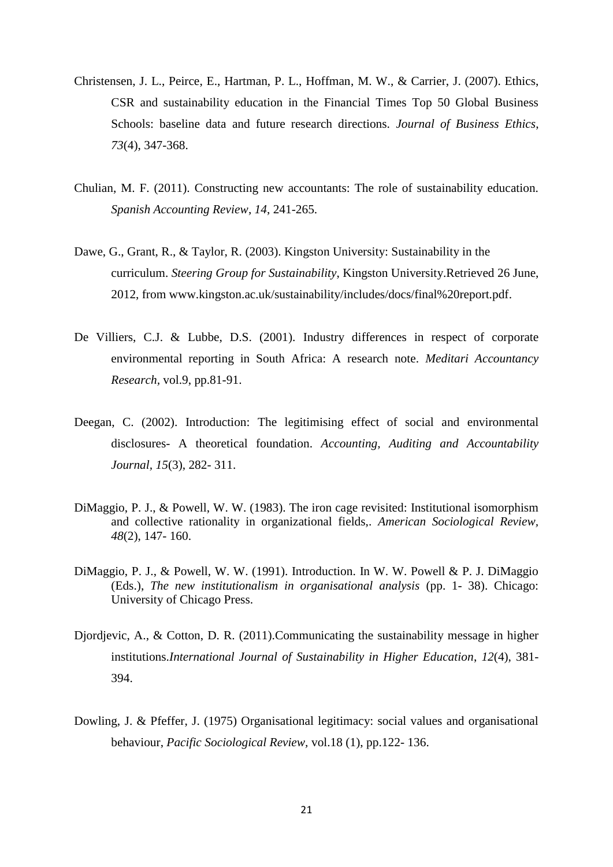- Christensen, J. L., Peirce, E., Hartman, P. L., Hoffman, M. W., & Carrier, J. (2007). Ethics, CSR and sustainability education in the Financial Times Top 50 Global Business Schools: baseline data and future research directions. *Journal of Business Ethics*, *73*(4), 347-368.
- Chulian, M. F. (2011). Constructing new accountants: The role of sustainability education. *Spanish Accounting Review*, *14*, 241-265.
- Dawe, G., Grant, R., & Taylor, R. (2003). Kingston University: Sustainability in the curriculum. *Steering Group for Sustainability*, Kingston University.Retrieved 26 June, 2012, from [www.kingston.ac.uk/sustainability/includes/docs/final%20report.pdf.](http://www.kingston.ac.uk/sustainability/includes/docs/final%20report.pdf)
- De Villiers, C.J. & Lubbe, D.S. (2001). Industry differences in respect of corporate environmental reporting in South Africa: A research note. *Meditari Accountancy Research,* vol.9, pp.81-91.
- Deegan, C. (2002). Introduction: The legitimising effect of social and environmental disclosures- A theoretical foundation. *Accounting, Auditing and Accountability Journal, 15*(3), 282- 311.
- DiMaggio, P. J., & Powell, W. W. (1983). The iron cage revisited: Institutional isomorphism and collective rationality in organizational fields,. *American Sociological Review, 48*(2), 147- 160.
- DiMaggio, P. J., & Powell, W. W. (1991). Introduction. In W. W. Powell & P. J. DiMaggio (Eds.), *The new institutionalism in organisational analysis* (pp. 1- 38). Chicago: University of Chicago Press.
- Djordjevic, A., & Cotton, D. R. (2011).Communicating the sustainability message in higher institutions.*International Journal of Sustainability in Higher Education*, *12*(4), 381- 394.
- Dowling, J. & Pfeffer, J. (1975) Organisational legitimacy: social values and organisational behaviour, *Pacific Sociological Review,* vol.18 (1), pp.122- 136.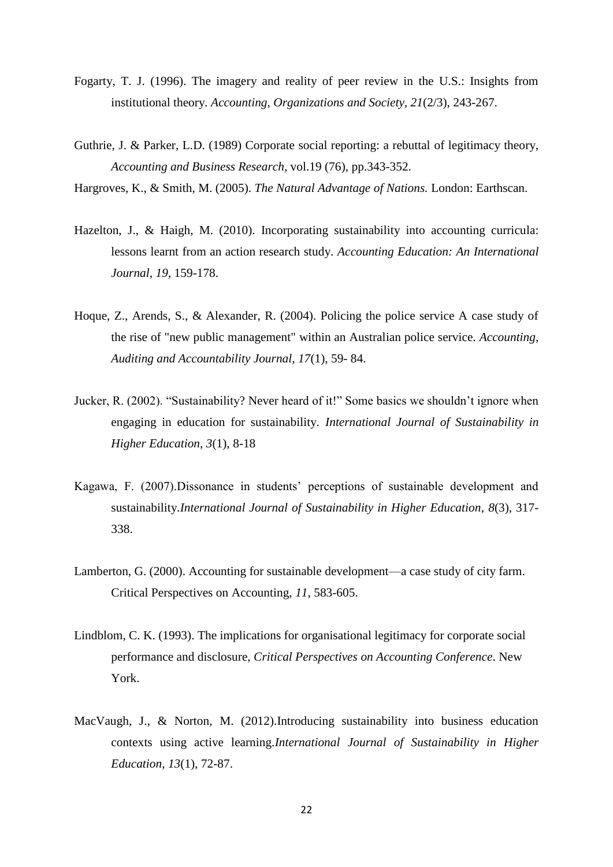- Fogarty, T. J. (1996). The imagery and reality of peer review in the U.S.: Insights from institutional theory. *Accounting, Organizations and Society, 21*(2/3), 243-267.
- Guthrie, J. & Parker, L.D. (1989) Corporate social reporting: a rebuttal of legitimacy theory, *Accounting and Business Research,* vol.19 (76), pp.343-352.
- Hargroves, K., & Smith, M. (2005). *The Natural Advantage of Nations.* London: Earthscan.
- Hazelton, J., & Haigh, M. (2010). Incorporating sustainability into accounting curricula: lessons learnt from an action research study. *Accounting Education: An International Journal*, *19*, 159-178.
- Hoque, Z., Arends, S., & Alexander, R. (2004). Policing the police service A case study of the rise of "new public management" within an Australian police service. *Accounting, Auditing and Accountability Journal, 17*(1), 59- 84.
- Jucker, R. (2002). "Sustainability? Never heard of it!" Some basics we shouldn't ignore when engaging in education for sustainability. *International Journal of Sustainability in Higher Education*, *3*(1), 8-18
- Kagawa, F. (2007).Dissonance in students' perceptions of sustainable development and sustainability.*International Journal of Sustainability in Higher Education*, *8*(3), 317- 338.
- Lamberton, G. (2000). Accounting for sustainable development—a case study of city farm. Critical Perspectives on Accounting, *11*, 583-605.
- Lindblom, C. K. (1993). The implications for organisational legitimacy for corporate social performance and disclosure, *Critical Perspectives on Accounting Conference*. New York.
- MacVaugh, J., & Norton, M. (2012).Introducing sustainability into business education contexts using active learning.*International Journal of Sustainability in Higher Education*, *13*(1), 72-87.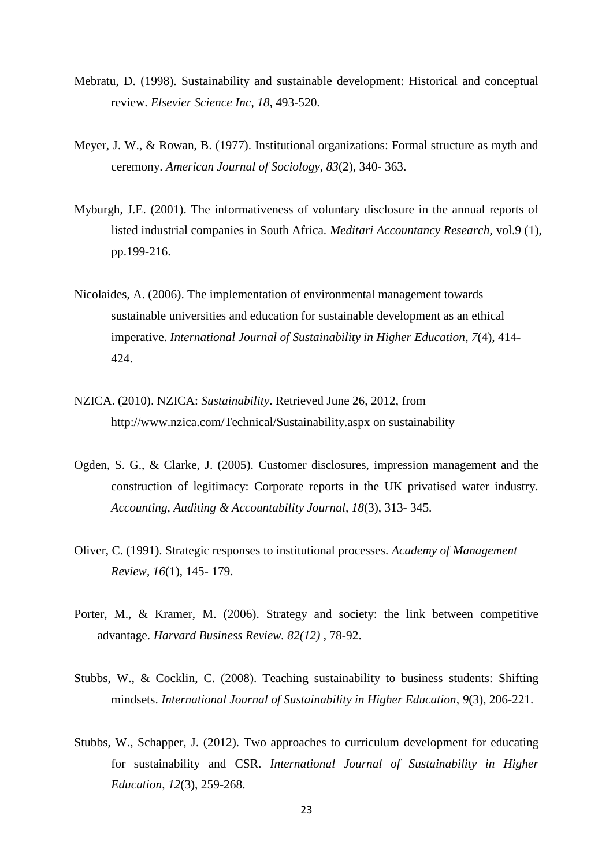- Mebratu, D. (1998). Sustainability and sustainable development: Historical and conceptual review. *Elsevier Science Inc*, *18*, 493-520.
- Meyer, J. W., & Rowan, B. (1977). Institutional organizations: Formal structure as myth and ceremony. *American Journal of Sociology, 83*(2), 340- 363.
- Myburgh, J.E. (2001). The informativeness of voluntary disclosure in the annual reports of listed industrial companies in South Africa. *Meditari Accountancy Research,* vol.9 (1), pp.199-216.
- Nicolaides, A. (2006). The implementation of environmental management towards sustainable universities and education for sustainable development as an ethical imperative. *International Journal of Sustainability in Higher Education*, *7*(4), 414- 424.
- NZICA. (2010). NZICA: *Sustainability*. Retrieved June 26, 2012, from http://www.nzica.com/Technical/Sustainability.aspx on sustainability
- Ogden, S. G., & Clarke, J. (2005). Customer disclosures, impression management and the construction of legitimacy: Corporate reports in the UK privatised water industry. *Accounting, Auditing & Accountability Journal, 18*(3), 313- 345.
- Oliver, C. (1991). Strategic responses to institutional processes. *Academy of Management Review, 16*(1), 145- 179.
- Porter, M., & Kramer, M. (2006). Strategy and society: the link between competitive advantage. *Harvard Business Review. 82(12)* , 78-92.
- Stubbs, W., & Cocklin, C. (2008). Teaching sustainability to business students: Shifting mindsets. *International Journal of Sustainability in Higher Education*, *9*(3), 206-221.
- Stubbs, W., Schapper, J. (2012). Two approaches to curriculum development for educating for sustainability and CSR. *International Journal of Sustainability in Higher Education*, *12*(3), 259-268.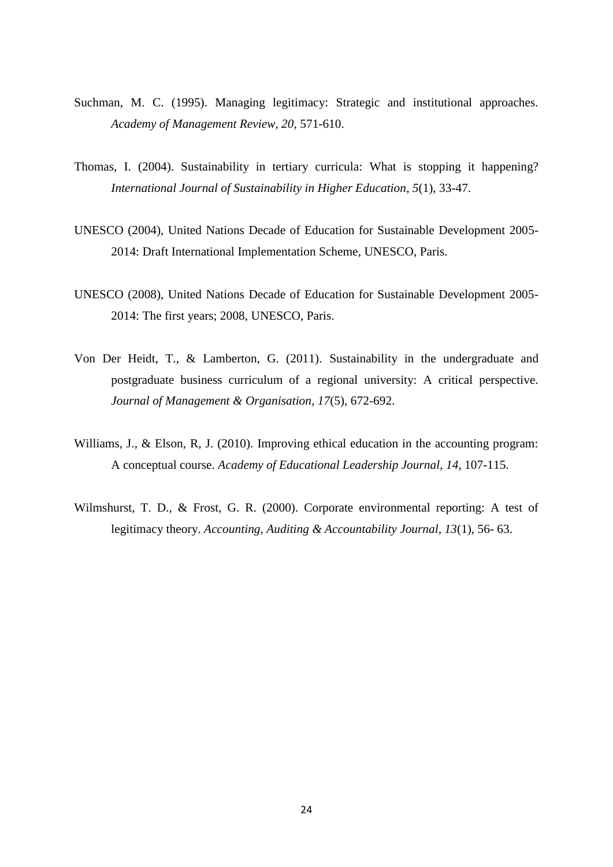- Suchman, M. C. (1995). Managing legitimacy: Strategic and institutional approaches. *Academy of Management Review, 20*, 571-610.
- Thomas, I. (2004). Sustainability in tertiary curricula: What is stopping it happening? *International Journal of Sustainability in Higher Education*, *5*(1), 33-47.
- UNESCO (2004), United Nations Decade of Education for Sustainable Development 2005- 2014: Draft International Implementation Scheme, UNESCO, Paris.
- UNESCO (2008), United Nations Decade of Education for Sustainable Development 2005- 2014: The first years; 2008, UNESCO, Paris.
- Von Der Heidt, T., & Lamberton, G. (2011). Sustainability in the undergraduate and postgraduate business curriculum of a regional university: A critical perspective. *Journal of Management & Organisation*, *17*(5), 672-692.
- Williams, J., & Elson, R, J. (2010). Improving ethical education in the accounting program: A conceptual course. *Academy of Educational Leadership Journal*, *14*, 107-115.
- Wilmshurst, T. D., & Frost, G. R. (2000). Corporate environmental reporting: A test of legitimacy theory. *Accounting, Auditing & Accountability Journal, 13*(1), 56- 63.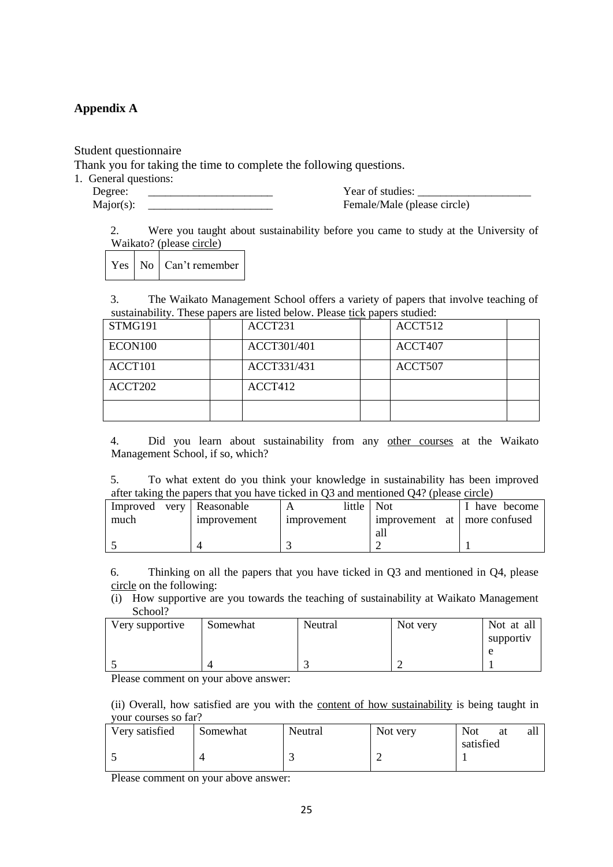## **Appendix A**

Student questionnaire

Thank you for taking the time to complete the following questions.

1. General questions: Degree:

 $Major(s)$ :

Year of studies: Female/Male (please circle)

2. Were you taught about sustainability before you came to study at the University of Waikato? (please circle)

Yes No Can't remember

3. The Waikato Management School offers a variety of papers that involve teaching of sustainability. These papers are listed below. Please tick papers studied:

| STMG191 | ACCT231     | ACCT512 |
|---------|-------------|---------|
| ECON100 | ACCT301/401 | ACCT407 |
| ACCT101 | ACCT331/431 | ACCT507 |
| ACCT202 | ACCT412     |         |
|         |             |         |

4. Did you learn about sustainability from any other courses at the Waikato Management School, if so, which?

5. To what extent do you think your knowledge in sustainability has been improved after taking the papers that you have ticked in Q3 and mentioned Q4? (please circle)

| Improved | very Reasonable    | little l             | <b>Not</b>  | have become      |  |  |
|----------|--------------------|----------------------|-------------|------------------|--|--|
| much     | <i>improvement</i> | <i>s improvement</i> | improvement | at more confused |  |  |
|          |                    |                      | all         |                  |  |  |
|          |                    |                      |             |                  |  |  |

6. Thinking on all the papers that you have ticked in Q3 and mentioned in Q4, please circle on the following:

(i) How supportive are you towards the teaching of sustainability at Waikato Management School?

| Very supportive | Somewhat | Neutral | Not very | Not at all |
|-----------------|----------|---------|----------|------------|
|                 |          |         |          | supportiv  |
|                 |          |         |          |            |
|                 |          |         |          |            |

Please comment on your above answer:

(ii) Overall, how satisfied are you with the content of how sustainability is being taught in your courses so far?

| Very satisfied | Somewhat | Neutral | Not very | Not       | at | all |
|----------------|----------|---------|----------|-----------|----|-----|
|                |          |         |          | satisfied |    |     |
| . .            |          |         |          |           |    |     |
|                |          |         |          |           |    |     |

Please comment on your above answer: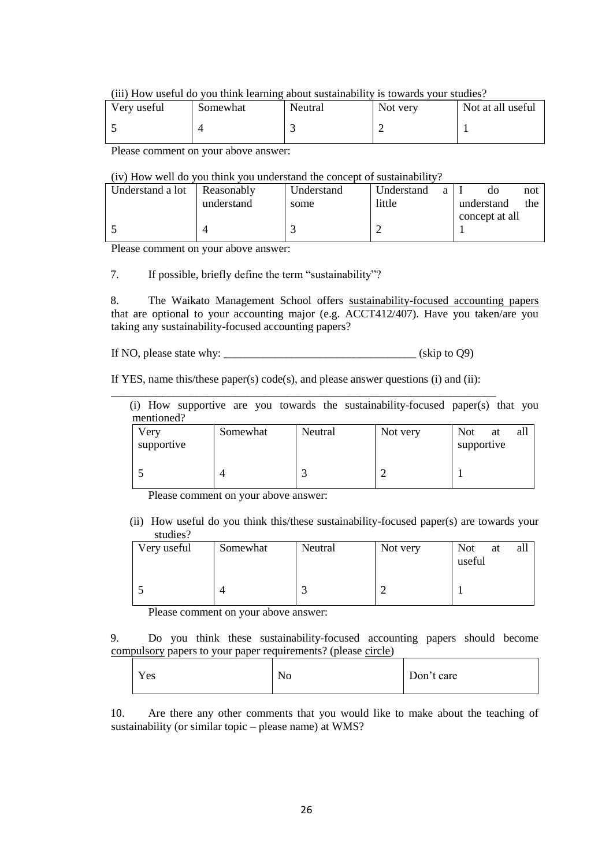(iii) How useful do you think learning about sustainability is towards your studies?

| Very useful | Somewhat | Neutral | Not very | Not at all useful |
|-------------|----------|---------|----------|-------------------|
|             |          |         |          |                   |

Please comment on your above answer:

## (iv) How well do you think you understand the concept of sustainability?

| l Understand a lot | Reasonably | Understand | Understand<br>a | not<br>do         |
|--------------------|------------|------------|-----------------|-------------------|
|                    | understand | some       | little          | the<br>understand |
|                    |            |            |                 | concept at all    |
|                    |            |            |                 |                   |
|                    |            |            |                 |                   |

Please comment on your above answer:

7. If possible, briefly define the term "sustainability"?

8. The Waikato Management School offers sustainability-focused accounting papers that are optional to your accounting major (e.g. ACCT412/407). Have you taken/are you taking any sustainability-focused accounting papers?

If NO, please state why:  $\frac{1}{2}$  (skip to Q9)

If YES, name this/these paper(s)  $code(s)$ , and please answer questions (i) and (ii):

|            |  |  | (i) How supportive are you towards the sustainability-focused paper(s) that you |  |  |
|------------|--|--|---------------------------------------------------------------------------------|--|--|
| mentioned? |  |  |                                                                                 |  |  |

| Very<br>supportive | Somewhat | Neutral | Not very | <b>Not</b><br>at<br>supportive | all |
|--------------------|----------|---------|----------|--------------------------------|-----|
|                    |          |         |          |                                |     |

Please comment on your above answer:

(ii) How useful do you think this/these sustainability-focused paper(s) are towards your studies?

| Very useful | Somewhat | Neutral | Not very | <b>Not</b><br>all<br>at<br>useful |
|-------------|----------|---------|----------|-----------------------------------|
|             |          |         |          |                                   |

Please comment on your above answer:

9. Do you think these sustainability-focused accounting papers should become compulsory papers to your paper requirements? (please circle)

| Yes | No | Don't care |
|-----|----|------------|
|-----|----|------------|

10. Are there any other comments that you would like to make about the teaching of sustainability (or similar topic – please name) at WMS?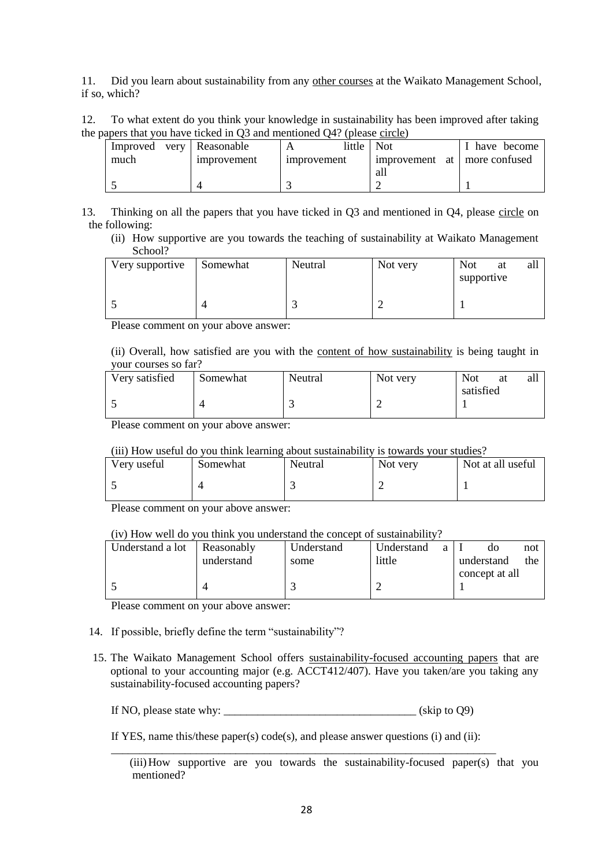11. Did you learn about sustainability from any other courses at the Waikato Management School, if so, which?

12. To what extent do you think your knowledge in sustainability has been improved after taking the papers that you have ticked in  $\overline{O3}$  and mentioned  $\overline{O4}$ ? (please circle)

| .                        |                   | - - - - - - - - - - - - - - - - - |                              |             |  |
|--------------------------|-------------------|-----------------------------------|------------------------------|-------------|--|
| Improved very Reasonable |                   | little                            | Not.                         | have become |  |
| much                     | <i>mprovement</i> | <i>mprovement</i>                 | improvement at more confused |             |  |
|                          |                   |                                   | all                          |             |  |
|                          |                   |                                   |                              |             |  |

13. Thinking on all the papers that you have ticked in Q3 and mentioned in Q4, please circle on the following:

(ii) How supportive are you towards the teaching of sustainability at Waikato Management School?

| Very supportive | Somewhat | Neutral | Not very | <b>Not</b><br>at<br>supportive | all |
|-----------------|----------|---------|----------|--------------------------------|-----|
|                 |          |         |          |                                |     |

Please comment on your above answer:

(ii) Overall, how satisfied are you with the content of how sustainability is being taught in your courses so far?

| Very satisfied | Somewhat | Neutral | Not very | <b>Not</b> | at | all |
|----------------|----------|---------|----------|------------|----|-----|
|                |          |         |          | satisfied  |    |     |
|                |          |         | ∽        |            |    |     |
|                |          |         |          |            |    |     |

Please comment on your above answer:

## (iii) How useful do you think learning about sustainability is towards your studies?

| Very useful | Somewhat | Neutral | Not very | Not at all useful |
|-------------|----------|---------|----------|-------------------|
|             |          |         |          |                   |

Please comment on your above answer:

## (iv) How well do you think you understand the concept of sustainability?

| Understand a lot | Reasonably | Understand | Understand | a | do             | not |
|------------------|------------|------------|------------|---|----------------|-----|
|                  | understand | some       | little     |   | understand     | the |
|                  |            |            |            |   | concept at all |     |
|                  |            |            |            |   |                |     |
|                  |            |            |            |   |                |     |

Please comment on your above answer:

- 14. If possible, briefly define the term "sustainability"?
- 15. The Waikato Management School offers sustainability-focused accounting papers that are optional to your accounting major (e.g. ACCT412/407). Have you taken/are you taking any sustainability-focused accounting papers?

If NO, please state why:  $\frac{1}{2}$  (skip to Q9)

If YES, name this/these paper(s) code(s), and please answer questions (i) and (ii): \_\_\_\_\_\_\_\_\_\_\_\_\_\_\_\_\_\_\_\_\_\_\_\_\_\_\_\_\_\_\_\_\_\_\_\_\_\_\_\_\_\_\_\_\_\_\_\_\_\_\_\_\_\_\_\_\_\_\_\_\_\_\_\_\_\_\_\_

<sup>(</sup>iii)How supportive are you towards the sustainability-focused paper(s) that you mentioned?